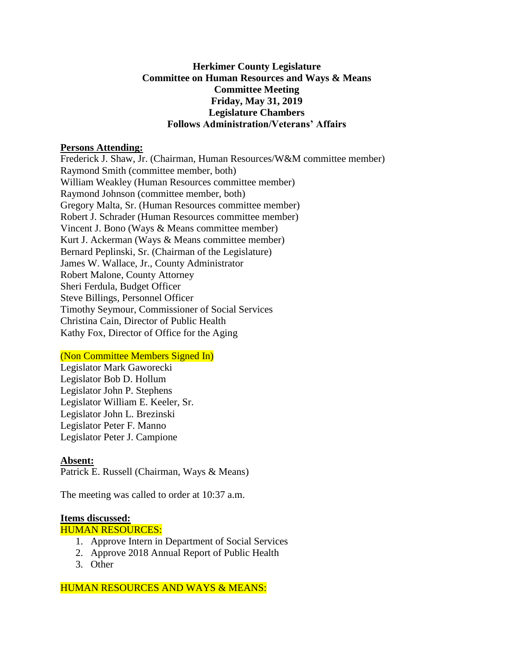# **Herkimer County Legislature Committee on Human Resources and Ways & Means Committee Meeting Friday, May 31, 2019 Legislature Chambers Follows Administration/Veterans' Affairs**

## **Persons Attending:**

Frederick J. Shaw, Jr. (Chairman, Human Resources/W&M committee member) Raymond Smith (committee member, both) William Weakley (Human Resources committee member) Raymond Johnson (committee member, both) Gregory Malta, Sr. (Human Resources committee member) Robert J. Schrader (Human Resources committee member) Vincent J. Bono (Ways & Means committee member) Kurt J. Ackerman (Ways & Means committee member) Bernard Peplinski, Sr. (Chairman of the Legislature) James W. Wallace, Jr., County Administrator Robert Malone, County Attorney Sheri Ferdula, Budget Officer Steve Billings, Personnel Officer Timothy Seymour, Commissioner of Social Services Christina Cain, Director of Public Health Kathy Fox, Director of Office for the Aging

## (Non Committee Members Signed In)

Legislator Mark Gaworecki Legislator Bob D. Hollum Legislator John P. Stephens Legislator William E. Keeler, Sr. Legislator John L. Brezinski Legislator Peter F. Manno Legislator Peter J. Campione

## **Absent:**

Patrick E. Russell (Chairman, Ways & Means)

The meeting was called to order at 10:37 a.m.

#### **Items discussed:**

HUMAN RESOURCES:

- 1. Approve Intern in Department of Social Services
- 2. Approve 2018 Annual Report of Public Health
- 3. Other

HUMAN RESOURCES AND WAYS & MEANS: